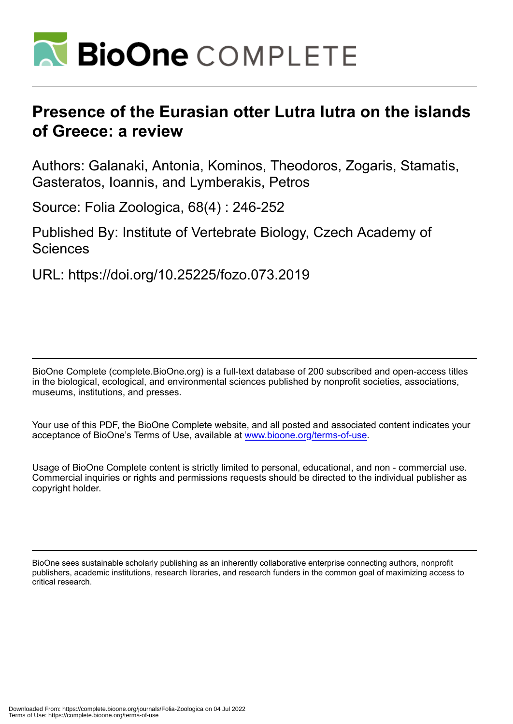

# **Presence of the Eurasian otter Lutra lutra on the islands of Greece: a review**

Authors: Galanaki, Antonia, Kominos, Theodoros, Zogaris, Stamatis, Gasteratos, Ioannis, and Lymberakis, Petros

Source: Folia Zoologica, 68(4) : 246-252

Published By: Institute of Vertebrate Biology, Czech Academy of Sciences

URL: https://doi.org/10.25225/fozo.073.2019

BioOne Complete (complete.BioOne.org) is a full-text database of 200 subscribed and open-access titles in the biological, ecological, and environmental sciences published by nonprofit societies, associations, museums, institutions, and presses.

Your use of this PDF, the BioOne Complete website, and all posted and associated content indicates your acceptance of BioOne's Terms of Use, available at www.bioone.org/terms-of-use.

Usage of BioOne Complete content is strictly limited to personal, educational, and non - commercial use. Commercial inquiries or rights and permissions requests should be directed to the individual publisher as copyright holder.

BioOne sees sustainable scholarly publishing as an inherently collaborative enterprise connecting authors, nonprofit publishers, academic institutions, research libraries, and research funders in the common goal of maximizing access to critical research.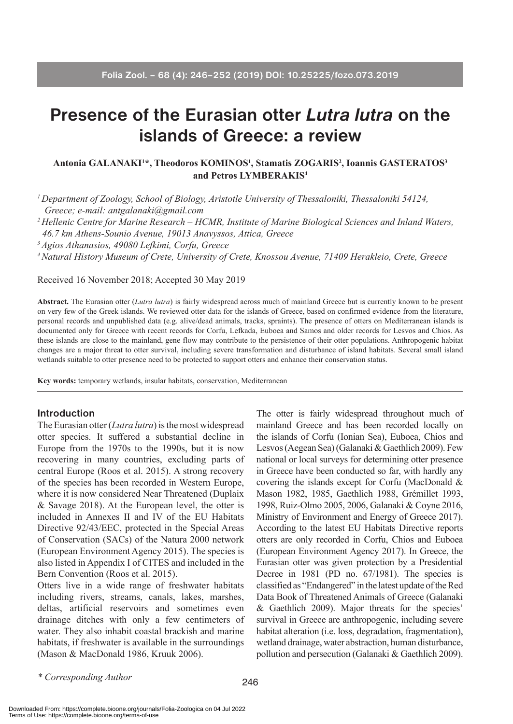# **Presence of the Eurasian otter** *Lutra lutra* **on the islands of Greece: a review**

## **Antonia GALANAKI1 \*, Theodoros KOMINOS1 , Stamatis ZOGARIS2 , Ioannis GASTERATOS3 and Petros LYMBERAKIS4**

*1 Department of Zoology, School of Biology, Aristotle University of Thessaloniki, Thessaloniki 54124, Greece; e-mail: antgalanaki@gmail.com*

*2 Hellenic Centre for Marine Research – HCMR, Institute of Marine Biological Sciences and Inland Waters, 46.7 km Athens-Sounio Avenue, 19013 Anavyssos, Attica, Greece*

*3 Agios Athanasios, 49080 Lefkimi, Corfu, Greece*

*4 Natural History Museum of Crete, University of Crete, Knossou Avenue, 71409 Herakleio, Crete, Greece*

Received 16 November 2018; Accepted 30 May 2019

**Abstract.** The Eurasian otter (*Lutra lutra*) is fairly widespread across much of mainland Greece but is currently known to be present on very few of the Greek islands. We reviewed otter data for the islands of Greece, based on confirmed evidence from the literature, personal records and unpublished data (e.g. alive/dead animals, tracks, spraints). The presence of otters on Mediterranean islands is documented only for Greece with recent records for Corfu, Lefkada, Euboea and Samos and older records for Lesvos and Chios. As these islands are close to the mainland, gene flow may contribute to the persistence of their otter populations. Anthropogenic habitat changes are a major threat to otter survival, including severe transformation and disturbance of island habitats. Several small island wetlands suitable to otter presence need to be protected to support otters and enhance their conservation status.

**Key words:** temporary wetlands, insular habitats, conservation, Mediterranean

#### **Introduction**

The Eurasian otter (*Lutra lutra*) is the most widespread otter species. It suffered a substantial decline in Europe from the 1970s to the 1990s, but it is now recovering in many countries, excluding parts of central Europe (Roos et al. 2015). A strong recovery of the species has been recorded in Western Europe, where it is now considered Near Threatened (Duplaix & Savage 2018). At the European level, the otter is included in Annexes II and IV of the EU Habitats Directive 92/43/EEC, protected in the Special Areas of Conservation (SACs) of the Natura 2000 network (European Environment Agency 2015). The species is also listed in Appendix I of CITES and included in the Bern Convention (Roos et al. 2015).

Otters live in a wide range of freshwater habitats including rivers, streams, canals, lakes, marshes, deltas, artificial reservoirs and sometimes even drainage ditches with only a few centimeters of water. They also inhabit coastal brackish and marine habitats, if freshwater is available in the surroundings (Mason & MacDonald 1986, Kruuk 2006).

The otter is fairly widespread throughout much of mainland Greece and has been recorded locally on the islands of Corfu (Ionian Sea), Euboea, Chios and Lesvos (Aegean Sea) (Galanaki & Gaethlich 2009). Few national or local surveys for determining otter presence in Greece have been conducted so far, with hardly any covering the islands except for Corfu (MacDonald & Mason 1982, 1985, Gaethlich 1988, Grémillet 1993, 1998, Ruiz-Olmo 2005, 2006, Galanaki & Coyne 2016, Ministry of Environment and Energy of Greece 2017). According to the latest EU Habitats Directive reports otters are only recorded in Corfu, Chios and Euboea (European Environment Agency 2017). In Greece, the Eurasian otter was given protection by a Presidential Decree in 1981 (PD no. 67/1981). The species is classified as "Endangered" in the latest update of the Red Data Book of Threatened Animals of Greece (Galanaki & Gaethlich 2009). Major threats for the species' survival in Greece are anthropogenic, including severe habitat alteration (i.e. loss, degradation, fragmentation), wetland drainage, water abstraction, human disturbance, pollution and persecution (Galanaki & Gaethlich 2009).

*\* Corresponding Author*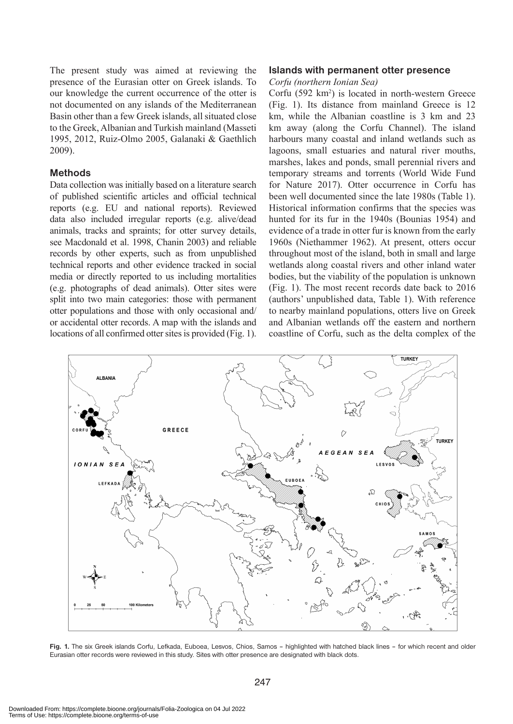The present study was aimed at reviewing the presence of the Eurasian otter on Greek islands. To our knowledge the current occurrence of the otter is not documented on any islands of the Mediterranean Basin other than a few Greek islands, all situated close to the Greek, Albanian and Turkish mainland (Masseti 1995, 2012, Ruiz-Olmo 2005, Galanaki & Gaethlich 2009).

### **Methods**

Data collection was initially based on a literature search of published scientific articles and official technical reports (e.g. EU and national reports). Reviewed data also included irregular reports (e.g. alive/dead animals, tracks and spraints; for otter survey details, see Macdonald et al. 1998, Chanin 2003) and reliable records by other experts, such as from unpublished technical reports and other evidence tracked in social media or directly reported to us including mortalities (e.g. photographs of dead animals). Otter sites were split into two main categories: those with permanent otter populations and those with only occasional and/ or accidental otter records. A map with the islands and locations of all confirmed otter sites is provided (Fig. 1).

#### **Islands with permanent otter presence**

#### *Corfu (northern Ionian Sea)*

Corfu (592 km<sup>2</sup>) is located in north-western Greece (Fig. 1). Its distance from mainland Greece is 12 km, while the Albanian coastline is 3 km and 23 km away (along the Corfu Channel). The island harbours many coastal and inland wetlands such as lagoons, small estuaries and natural river mouths, marshes, lakes and ponds, small perennial rivers and temporary streams and torrents (World Wide Fund for Nature 2017). Otter occurrence in Corfu has been well documented since the late 1980s (Table 1). Historical information confirms that the species was hunted for its fur in the 1940s (Bounias 1954) and evidence of a trade in otter fur is known from the early 1960s (Niethammer 1962). At present, otters occur throughout most of the island, both in small and large wetlands along coastal rivers and other inland water bodies, but the viability of the population is unknown (Fig. 1). The most recent records date back to 2016 (authors' unpublished data, Table 1). With reference to nearby mainland populations, otters live on Greek and Albanian wetlands off the eastern and northern coastline of Corfu, such as the delta complex of the



**Fig. 1.** The six Greek islands Corfu, Lefkada, Euboea, Lesvos, Chios, Samos – highlighted with hatched black lines – for which recent and older Eurasian otter records were reviewed in this study. Sites with otter presence are designated with black dots.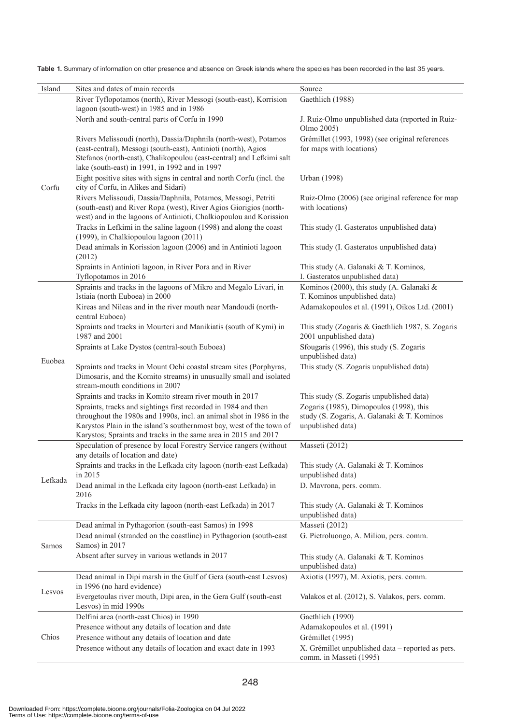**Table 1.** Summary of information on otter presence and absence on Greek islands where the species has been recorded in the last 35 years.

| Island  | Sites and dates of main records                                                                                                          | Source<br>Gaethlich (1988)                        |
|---------|------------------------------------------------------------------------------------------------------------------------------------------|---------------------------------------------------|
|         | River Tyflopotamos (north), River Messogi (south-east), Korrision<br>lagoon (south-west) in 1985 and in 1986                             |                                                   |
|         | North and south-central parts of Corfu in 1990                                                                                           | J. Ruiz-Olmo unpublished data (reported in Ruiz-  |
| Corfu   |                                                                                                                                          | Olmo 2005)                                        |
|         | Rivers Melissoudi (north), Dassia/Daphnila (north-west), Potamos                                                                         | Grémillet (1993, 1998) (see original references   |
|         | (east-central), Messogi (south-east), Antinioti (north), Agios                                                                           | for maps with locations)                          |
|         | Stefanos (north-east), Chalikopoulou (east-central) and Lefkimi salt                                                                     |                                                   |
|         | lake (south-east) in 1991, in 1992 and in 1997                                                                                           |                                                   |
|         | Eight positive sites with signs in central and north Corfu (incl. the                                                                    | Urban (1998)                                      |
|         | city of Corfu, in Alikes and Sidari)                                                                                                     |                                                   |
|         | Rivers Melissoudi, Dassia/Daphnila, Potamos, Messogi, Petriti                                                                            | Ruiz-Olmo (2006) (see original reference for map  |
|         | (south-east) and River Ropa (west), River Agios Giorigios (north-                                                                        | with locations)                                   |
|         | west) and in the lagoons of Antinioti, Chalkiopoulou and Korission                                                                       |                                                   |
|         | Tracks in Lefkimi in the saline lagoon (1998) and along the coast                                                                        | This study (I. Gasteratos unpublished data)       |
|         | (1999), in Chalkiopoulou lagoon (2011)<br>Dead animals in Korission lagoon (2006) and in Antinioti lagoon                                | This study (I. Gasteratos unpublished data)       |
|         | (2012)                                                                                                                                   |                                                   |
|         | Spraints in Antinioti lagoon, in River Pora and in River                                                                                 | This study (A. Galanaki & T. Kominos,             |
|         | Tyflopotamos in 2016                                                                                                                     | I. Gasteratos unpublished data)                   |
| Euobea  | Spraints and tracks in the lagoons of Mikro and Megalo Livari, in                                                                        | Kominos (2000), this study (A. Galanaki &         |
|         | Istiaia (north Euboea) in 2000                                                                                                           | T. Kominos unpublished data)                      |
|         | Kireas and Nileas and in the river mouth near Mandoudi (north-                                                                           | Adamakopoulos et al. (1991), Oikos Ltd. (2001)    |
|         | central Euboea)                                                                                                                          |                                                   |
|         | Spraints and tracks in Mourteri and Manikiatis (south of Kymi) in                                                                        | This study (Zogaris & Gaethlich 1987, S. Zogaris  |
|         | 1987 and 2001                                                                                                                            | 2001 unpublished data)                            |
|         | Spraints at Lake Dystos (central-south Euboea)                                                                                           | Sfougaris (1996), this study (S. Zogaris          |
|         |                                                                                                                                          | unpublished data)                                 |
|         | Spraints and tracks in Mount Ochi coastal stream sites (Porphyras,<br>Dimosaris, and the Komito streams) in unusually small and isolated | This study (S. Zogaris unpublished data)          |
|         | stream-mouth conditions in 2007                                                                                                          |                                                   |
|         | Spraints and tracks in Komito stream river mouth in 2017                                                                                 | This study (S. Zogaris unpublished data)          |
|         | Spraints, tracks and sightings first recorded in 1984 and then                                                                           | Zogaris (1985), Dimopoulos (1998), this           |
|         | throughout the 1980s and 1990s, incl. an animal shot in 1986 in the                                                                      | study (S. Zogaris, A. Galanaki & T. Kominos       |
|         | Karystos Plain in the island's southernmost bay, west of the town of                                                                     | unpublished data)                                 |
|         | Karystos; Spraints and tracks in the same area in 2015 and 2017                                                                          |                                                   |
| Lefkada | Speculation of presence by local Forestry Service rangers (without                                                                       | Masseti (2012)                                    |
|         | any details of location and date)                                                                                                        |                                                   |
|         | Spraints and tracks in the Lefkada city lagoon (north-east Lefkada)                                                                      | This study (A. Galanaki & T. Kominos              |
|         | in 2015<br>Dead animal in the Lefkada city lagoon (north-east Lefkada) in                                                                | unpublished data)                                 |
|         | 2016                                                                                                                                     | D. Mavrona, pers. comm.                           |
|         | Tracks in the Lefkada city lagoon (north-east Lefkada) in 2017                                                                           | This study (A. Galanaki & T. Kominos              |
|         |                                                                                                                                          | unpublished data)                                 |
| Samos   | Dead animal in Pythagorion (south-east Samos) in 1998                                                                                    | Masseti (2012)                                    |
|         | Dead animal (stranded on the coastline) in Pythagorion (south-east                                                                       | G. Pietroluongo, A. Miliou, pers. comm.           |
|         | Samos) in 2017                                                                                                                           |                                                   |
|         | Absent after survey in various wetlands in 2017                                                                                          | This study (A. Galanaki & T. Kominos              |
|         |                                                                                                                                          | unpublished data)                                 |
| Lesvos  | Dead animal in Dipi marsh in the Gulf of Gera (south-east Lesvos)                                                                        | Axiotis (1997), M. Axiotis, pers. comm.           |
|         | in 1996 (no hard evidence)                                                                                                               |                                                   |
|         | Evergetoulas river mouth, Dipi area, in the Gera Gulf (south-east                                                                        | Valakos et al. (2012), S. Valakos, pers. comm.    |
|         | Lesvos) in mid 1990s<br>Delfini area (north-east Chios) in 1990                                                                          | Gaethlich (1990)                                  |
| Chios   | Presence without any details of location and date                                                                                        | Adamakopoulos et al. (1991)                       |
|         | Presence without any details of location and date                                                                                        | Grémillet (1995)                                  |
|         | Presence without any details of location and exact date in 1993                                                                          | X. Grémillet unpublished data - reported as pers. |
|         |                                                                                                                                          | comm. in Masseti (1995)                           |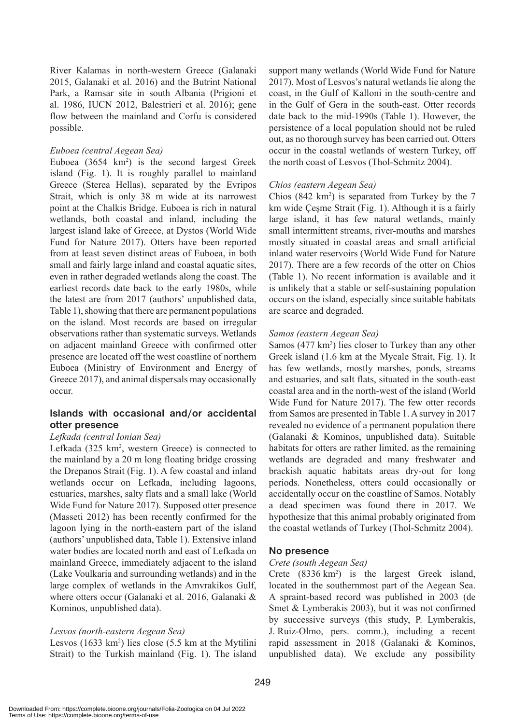River Kalamas in north-western Greece (Galanaki 2015, Galanaki et al. 2016) and the Butrint National Park, a Ramsar site in south Albania (Prigioni et al. 1986, IUCN 2012, Balestrieri et al. 2016); gene flow between the mainland and Corfu is considered possible.

# *Euboea (central Aegean Sea)*

Euboea  $(3654 \text{ km}^2)$  is the second largest Greek island (Fig. 1). It is roughly parallel to mainland Greece (Sterea Hellas), separated by the Evripos Strait, which is only 38 m wide at its narrowest point at the Chalkis Bridge. Euboea is rich in natural wetlands, both coastal and inland, including the largest island lake of Greece, at Dystos (World Wide Fund for Nature 2017). Otters have been reported from at least seven distinct areas of Euboea, in both small and fairly large inland and coastal aquatic sites, even in rather degraded wetlands along the coast. The earliest records date back to the early 1980s, while the latest are from 2017 (authors' unpublished data, Table 1), showing that there are permanent populations on the island. Most records are based on irregular observations rather than systematic surveys. Wetlands on adjacent mainland Greece with confirmed otter presence are located off the west coastline of northern Euboea (Ministry of Environment and Energy of Greece 2017), and animal dispersals may occasionally occur.

# **Islands with occasional and/or accidental otter presence**

#### *Lefkada (central Ionian Sea)*

Lefkada (325 km<sup>2</sup>, western Greece) is connected to the mainland by a 20 m long floating bridge crossing the Drepanos Strait (Fig. 1). A few coastal and inland wetlands occur on Lefkada, including lagoons, estuaries, marshes, salty flats and a small lake (World Wide Fund for Nature 2017). Supposed otter presence (Masseti 2012) has been recently confirmed for the lagoon lying in the north-eastern part of the island (authors' unpublished data, Table 1). Extensive inland water bodies are located north and east of Lefkada on mainland Greece, immediately adjacent to the island (Lake Voulkaria and surrounding wetlands) and in the large complex of wetlands in the Amvrakikos Gulf, where otters occur (Galanaki et al. 2016, Galanaki & Kominos, unpublished data).

#### *Lesvos (north-eastern Aegean Sea)*

Lesvos (1633 km<sup>2</sup>) lies close (5.5 km at the Mytilini Strait) to the Turkish mainland (Fig. 1). The island

support many wetlands (World Wide Fund for Nature 2017). Most of Lesvos's natural wetlands lie along the coast, in the Gulf of Kalloni in the south-centre and in the Gulf of Gera in the south-east. Otter records date back to the mid-1990s (Table 1). However, the persistence of a local population should not be ruled out, as no thorough survey has been carried out. Otters occur in the coastal wetlands of western Turkey, off the north coast of Lesvos (Thol-Schmitz 2004).

# *Chios (eastern Aegean Sea)*

Chios  $(842 \text{ km}^2)$  is separated from Turkey by the 7 km wide Çeşme Strait (Fig. 1). Although it is a fairly large island, it has few natural wetlands, mainly small intermittent streams, river-mouths and marshes mostly situated in coastal areas and small artificial inland water reservoirs (World Wide Fund for Nature 2017). There are a few records of the otter on Chios (Table 1). No recent information is available and it is unlikely that a stable or self-sustaining population occurs on the island, especially since suitable habitats are scarce and degraded.

#### *Samos (eastern Aegean Sea)*

Samos (477 km<sup>2</sup>) lies closer to Turkey than any other Greek island (1.6 km at the Mycale Strait, Fig. 1). It has few wetlands, mostly marshes, ponds, streams and estuaries, and salt flats, situated in the south-east coastal area and in the north-west of the island (World Wide Fund for Nature 2017). The few otter records from Samos are presented in Table 1. Asurvey in 2017 revealed no evidence of a permanent population there (Galanaki & Kominos, unpublished data). Suitable habitats for otters are rather limited, as the remaining wetlands are degraded and many freshwater and brackish aquatic habitats areas dry-out for long periods. Nonetheless, otters could occasionally or accidentally occur on the coastline of Samos. Notably a dead specimen was found there in 2017. We hypothesize that this animal probably originated from the coastal wetlands of Turkey (Thol-Schmitz 2004).

# **No presence**

#### *Crete (south Aegean Sea)*

Crete  $(8336 \text{ km}^2)$  is the largest Greek island, located in the southernmost part of the Aegean Sea. A spraint-based record was published in 2003 (de Smet & Lymberakis 2003), but it was not confirmed by successive surveys (this study, P. Lymberakis, J. Ruiz-Olmo, pers. comm.), including a recent rapid assessment in 2018 (Galanaki & Kominos, unpublished data). We exclude any possibility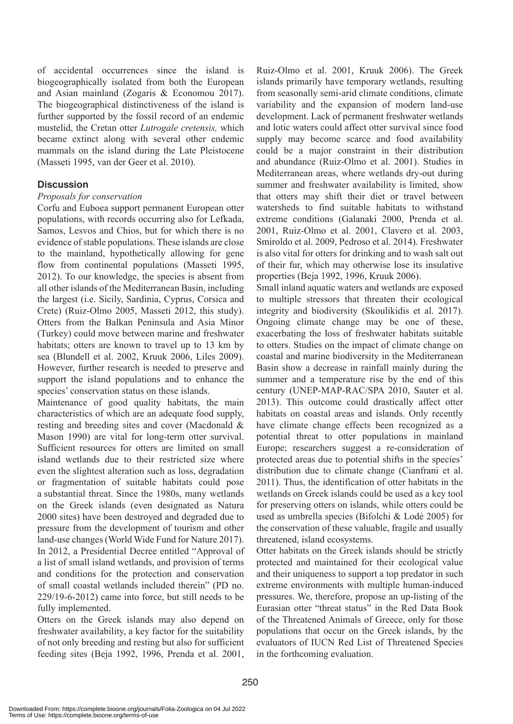of accidental occurrences since the island is biogeographically isolated from both the European and Asian mainland (Zogaris & Economou 2017). The biogeographical distinctiveness of the island is further supported by the fossil record of an endemic mustelid, the Cretan otter *Lutrogale cretensis,* which became extinct along with several other endemic mammals on the island during the Late Pleistocene (Masseti 1995, van der Geer et al. 2010).

# **Discussion**

# *Proposals for conservation*

Corfu and Euboea support permanent European otter populations, with records occurring also for Lefkada, Samos, Lesvos and Chios, but for which there is no evidence of stable populations. These islands are close to the mainland, hypothetically allowing for gene flow from continental populations (Masseti 1995, 2012). To our knowledge, the species is absent from all other islands of the Mediterranean Basin, including the largest (i.e. Sicily, Sardinia, Cyprus, Corsica and Crete) (Ruiz-Olmo 2005, Masseti 2012, this study). Otters from the Balkan Peninsula and Asia Minor (Turkey) could move between marine and freshwater habitats; otters are known to travel up to 13 km by sea (Blundell et al. 2002, Kruuk 2006, Liles 2009). However, further research is needed to preserve and support the island populations and to enhance the species' conservation status on these islands.

Maintenance of good quality habitats, the main characteristics of which are an adequate food supply, resting and breeding sites and cover (Macdonald & Mason 1990) are vital for long-term otter survival. Sufficient resources for otters are limited on small island wetlands due to their restricted size where even the slightest alteration such as loss, degradation or fragmentation of suitable habitats could pose a substantial threat. Since the 1980s, many wetlands on the Greek islands (even designated as Natura 2000 sites) have been destroyed and degraded due to pressure from the development of tourism and other land-use changes (World Wide Fund for Nature 2017). In 2012, a Presidential Decree entitled "Approval of a list of small island wetlands, and provision of terms and conditions for the protection and conservation of small coastal wetlands included therein" (PD no. 229/19-6-2012) came into force, but still needs to be fully implemented.

Otters on the Greek islands may also depend on freshwater availability, a key factor for the suitability of not only breeding and resting but also for sufficient feeding sites (Beja 1992, 1996, Prenda et al. 2001, Ruiz-Olmo et al. 2001, Kruuk 2006). The Greek islands primarily have temporary wetlands, resulting from seasonally semi-arid climate conditions, climate variability and the expansion of modern land-use development. Lack of permanent freshwater wetlands and lotic waters could affect otter survival since food supply may become scarce and food availability could be a major constraint in their distribution and abundance (Ruiz-Olmo et al. 2001). Studies in Mediterranean areas, where wetlands dry-out during summer and freshwater availability is limited, show that otters may shift their diet or travel between watersheds to find suitable habitats to withstand extreme conditions (Galanaki 2000, Prenda et al. 2001, Ruiz-Olmo et al. 2001, Clavero et al. 2003, Smiroldo et al. 2009, Pedroso et al. 2014). Freshwater is also vital for otters for drinking and to wash salt out of their fur, which may otherwise lose its insulative properties (Beja 1992, 1996, Kruuk 2006).

Small inland aquatic waters and wetlands are exposed to multiple stressors that threaten their ecological integrity and biodiversity (Skoulikidis et al. 2017). Ongoing climate change may be one of these, exacerbating the loss of freshwater habitats suitable to otters. Studies on the impact of climate change on coastal and marine biodiversity in the Mediterranean Basin show a decrease in rainfall mainly during the summer and a temperature rise by the end of this century (UNEP-MAP-RAC/SPA 2010, Sauter et al. 2013). This outcome could drastically affect otter habitats on coastal areas and islands. Only recently have climate change effects been recognized as a potential threat to otter populations in mainland Europe; researchers suggest a re-consideration of protected areas due to potential shifts in the species' distribution due to climate change (Cianfrani et al. 2011). Thus, the identification of otter habitats in the wetlands on Greek islands could be used as a key tool for preserving otters on islands, while otters could be used as umbrella species (Bifolchi & Lodé 2005) for the conservation of these valuable, fragile and usually threatened, island ecosystems.

Otter habitats on the Greek islands should be strictly protected and maintained for their ecological value and their uniqueness to support a top predator in such extreme environments with multiple human-induced pressures. We, therefore, propose an up-listing of the Eurasian otter "threat status" in the Red Data Book of the Threatened Animals of Greece, only for those populations that occur on the Greek islands, by the evaluators of IUCN Red List of Threatened Species in the forthcoming evaluation.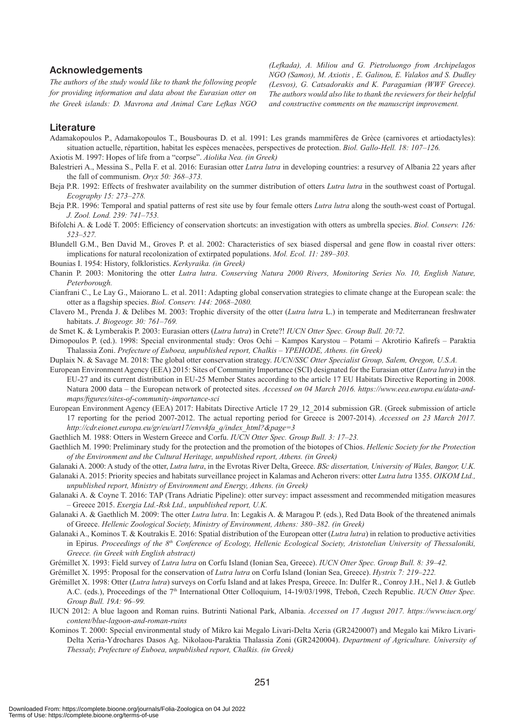#### **Acknowledgements**

*The authors of the study would like to thank the following people for providing information and data about the Eurasian otter on the Greek islands: D. Mavrona and Animal Care Lefkas NGO*  *(Lefkada), A. Miliou and G. Pietroluongo from Archipelagos NGO (Samos), M. Axiotis , E. Galinou, E. Valakos and S. Dudley (Lesvos), G. Catsadorakis and K. Paragamian (WWF Greece). The authors would also like to thank the reviewers for their helpful and constructive comments on the manuscript improvement.*

#### **Literature**

Adamakopoulos P., Adamakopoulos T., Bousbouras D. et al. 1991: Les grands mammifères de Grèce (carnivores et artiodactyles): situation actuelle, répartition, habitat les espèces menacèes, perspectives de protection. *Βiol. Gallo-Hell. 18: 107–126.*

- Axiotis M. 1997: Hopes of life from a "corpse". *Aiolika Nea. (in Greek)*
- Balestrieri A., Messina S., Pella F. et al. 2016: Eurasian otter *Lutra lutra* in developing countries: a resurvey of Albania 22 years after the fall of communism. *Oryx 50: 368–373.*
- Beja P.R. 1992: Effects of freshwater availability on the summer distribution of otters *Lutra lutra* in the southwest coast of Portugal. *Ecography 15: 273–278.*
- Beja P.R. 1996: Temporal and spatial patterns of rest site use by four female otters *Lutra lutra* along the south-west coast of Portugal. *J. Zool. Lond. 239: 741–753.*
- Bifolchi A. & Lodé T. 2005: Efficiency of conservation shortcuts: an investigation with otters as umbrella species. *Biol. Conserv. 126: 523–527.*
- Blundell G.M., Ben David M., Groves P. et al. 2002: Characteristics of sex biased dispersal and gene flow in coastal river otters: implications for natural recolonization of extirpated populations. *Mol. Ecol. 11: 289–303.*
- Bounias I. 1954: History, folkloristics. *Kerkyraika. (in Greek)*
- Chanin P. 2003: Monitoring the otter *Lutra lutra*. *Conserving Natura 2000 Rivers, Monitoring Series No. 10, English Nature, Peterborough.*
- Cianfrani C., Le Lay G., Maiorano L. et al. 2011: Adapting global conservation strategies to climate change at the European scale: the otter as a flagship species. *Biol. Conserv. 144: 2068–2080.*
- Clavero M., Prenda J. & Delibes M. 2003: Trophic diversity of the otter (*Lutra lutra* L.) in temperate and Mediterranean freshwater habitats. *J. Biogeogr. 30: 761–769.*
- de Smet K. & Lymberakis P. 2003: Eurasian otters (*Lutra lutra*) in Crete?! *IUCN Otter Spec. Group Bull. 20:72.*
- Dimopoulos P. (ed.). 1998: Special environmental study: Oros Ochi Kampos Karystou Potami Akrotirio Kafirefs Paraktia Thalassia Zoni. *Prefecture of Euboea, unpublished report, Chalkis – YPEHODE, Athens. (in Greek)*
- Duplaix N. & Savage M. 2018: The global otter conservation strategy. *IUCN/SSC Otter Specialist Group, Salem, Oregon, U.S.A.*
- European Environment Agency (EEA) 2015: Sites of Community Importance (SCI) designated for the Eurasian otter (*Lutra lutra*) in the EU-27 and its current distribution in EU-25 Member States according to the article 17 EU Habitats Directive Reporting in 2008. Natura 2000 data – the European network of protected sites. *Accessed on 04 March 2016. https://www.eea.europa.eu/data-andmaps/figures/sites-of-community-importance-sci*
- European Environment Agency (EEA) 2017: Habitats Directive Article 17 29 12 2014 submission GR. (Greek submission of article 17 reporting for the period 2007-2012. The actual reporting period for Greece is 2007-2014). *Accessed on 23 March 2017. http://cdr.eionet.europa.eu/gr/eu/art17/envvkfa\_q/index\_html?&page=3*
- Gaethlich M. 1988: Otters in Western Greece and Corfu. *IUCN Otter Spec. Group Bull. 3: 17–23.*
- Gaethlich M. 1990: Preliminary study for the protection and the promotion of the biotopes of Chios. *Hellenic Society for the Protection of the Environment and the Cultural Heritage, unpublished report, Athens. (in Greek)*
- Galanaki A. 2000: A study of the otter, *Lutra lutra*, in the Evrotas River Delta, Greece. *BSc dissertation, University of Wales, Bangor, U.K.*
- Galanaki A. 2015: Priority species and habitats surveillance project in Kalamas and Acheron rivers: otter *Lutra lutra* 1355. *OIKOM Ltd., unpublished report, Ministry of Environment and Energy, Athens. (in Greek)*
- Galanaki A. & Coyne T. 2016: TAP (Trans Adriatic Pipeline): otter survey: impact assessment and recommended mitigation measures – Greece 2015. *Exergia Ltd.-Rsk Ltd., unpublished report, U.K.*
- Galanaki A. & Gaethlich M. 2009: The otter *Lutra lutra*. In: Legakis A. & Maragou P. (eds.), Red Data Book of the threatened animals of Greece. *Hellenic Zoological Society, Ministry of Environment, Athens: 380–382. (in Greek)*
- Galanaki A., Kominos T. & Koutrakis E. 2016: Spatial distribution of the European otter (*Lutra lutra*) in relation to productive activities in Epirus. *Proceedings of the 8th Conference of Ecology, Hellenic Ecological Society, Aristotelian University of Thessaloniki, Greece. (in Greek with English abstract)*
- Grémillet X. 1993: Field survey of *Lutra lutra* on Corfu Island (Ionian Sea, Greece). *IUCN Otter Spec. Group Bull. 8: 39–42.*
- Grémillet X. 1995: Proposal for the conservation of *Lutra lutra* on Corfu Island (Ionian Sea, Greece). *Hystrix 7: 219–222.*
- Grémillet X. 1998: Otter (*Lutra lutra*) surveys on Corfu Island and at lakes Prespa, Greece. In: Dulfer R., Conroy J.H., Nel J. & Gutleb A.C. (eds.), Proceedings of the 7<sup>th</sup> International Otter Colloquium, 14-19/03/1998, Třeboň, Czech Republic. *IUCN Otter Spec. Group Bull. 19A: 96–99.*
- IUCN 2012: A blue lagoon and Roman ruins. Butrinti National Park, Albania. *Accessed on 17 August 2017. https://www.iucn.org/ content/blue-lagoon-and-roman-ruins*
- Kominos T. 2000: Special environmental study of Mikro kai Megalo Livari-Delta Xeria (GR2420007) and Megalo kai Mikro Livari-Delta Xeria-Ydrochares Dasos Ag. Nikolaou-Paraktia Thalassia Zoni (GR2420004). *Department of Agriculture. University of Thessaly, Prefecture of Euboea, unpublished report, Chalkis. (in Greek)*